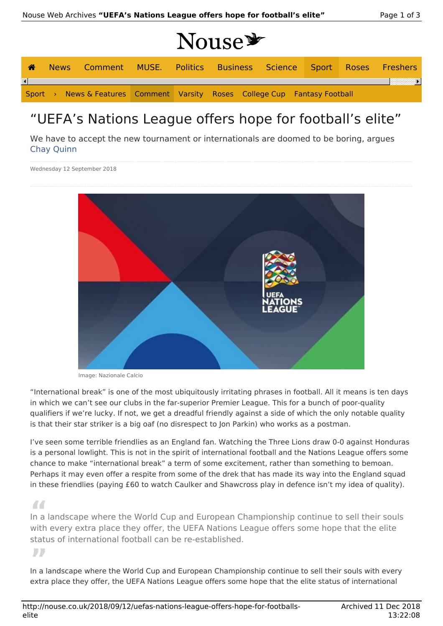# Nouse\*

|  | News Comment MUSE. Politics Business Science Sport Roses Freshers          |  |  |  |  |
|--|----------------------------------------------------------------------------|--|--|--|--|
|  |                                                                            |  |  |  |  |
|  | Sport > News & Features Comment Varsity Roses College Cup Fantasy Football |  |  |  |  |

## "UEFA's Nations League offers hope for football's elite"

We have to accept the new tournament or internationals are doomed to be boring, argues Chay Quinn

Wednesday 12 September 2018



Image: Nazionale Calcio

"International break" is one of the most ubiquitously irritating phrases in football. All it means is ten days in which we can't see our clubs in the far-superior Premier League. This for a bunch of poor-quality qualifiers if we're lucky. If not, we get a dreadful friendly against a side of which the only notable quality is that their star striker is a big oaf (no disrespect to Jon Parkin) who works as a postman.

I've seen some terrible friendlies as an England fan. Watching the Three Lions draw 0-0 against Honduras is a personal lowlight. This is not in the spirit of international football and the Nations League offers some chance to make "international break" a term of some excitement, rather than something to bemoan. Perhaps it may even offer a respite from some of the drek that has made its way into the England squad in these friendlies (paying £60 to watch Caulker and Shawcross play in defence isn't my idea of quality).

**"** In a landscape where the World Cup and European Championship continue to sell their souls with every extra place they offer, the UEFA Nations League offers some hope that the elite status of international football can be re-established.

**"** In a landscape where the World Cup and European Championship continue to sell their souls with every extra place they offer, the UEFA Nations League offers some hope that the elite status of international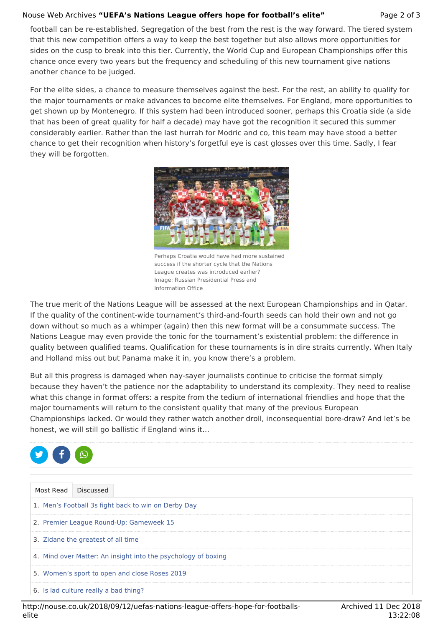## Nouse Web Archives **"UEFA's Nations League offers hope for football's elite"** Page 2 of 3

football can be re-established. Segregation of the best from the rest is the way forward. The tiered system that this new competition offers a way to keep the best together but also allows more opportunities for sides on the cusp to break into this tier. Currently, the World Cup and European Championships offer this chance once every two years but the frequency and scheduling of this new tournament give nations another chance to be judged.

For the elite sides, a chance to measure themselves against the best. For the rest, an ability to qualify for the major tournaments or make advances to become elite themselves. For England, more opportunities to get shown up by Montenegro. If this system had been introduced sooner, perhaps this Croatia side (a side that has been of great quality for half a decade) may have got the recognition it secured this summer considerably earlier. Rather than the last hurrah for Modric and co, this team may have stood a better chance to get their recognition when history's forgetful eye is cast glosses over this time. Sadly, I fear they will be forgotten.



Perhaps Croatia would have had more sustained success if the shorter cycle that the Nations League creates was introduced earlier? Image: Russian Presidential Press and Information Office

The true merit of the Nations League will be assessed at the next European Championships and in Qatar. If the quality of the continent-wide tournament's third-and-fourth seeds can hold their own and not go down without so much as a whimper (again) then this new format will be a consummate success. The Nations League may even provide the tonic for the tournament's existential problem: the difference in quality between qualified teams. Qualification for these tournaments is in dire straits currently. When Italy and Holland miss out but Panama make it in, you know there's a problem.

But all this progress is damaged when nay-sayer journalists continue to criticise the format simply because they haven't the patience nor the adaptability to understand its complexity. They need to realise what this change in format offers: a respite from the tedium of international friendlies and hope that the major tournaments will return to the consistent quality that many of the previous European Championships lacked. Or would they rather watch another droll, inconsequential bore-draw? And let's be honest, we will still go ballistic if England wins it…



|  | Most Read Discussed                                           |
|--|---------------------------------------------------------------|
|  | 1. Men's Football 3s fight back to win on Derby Day           |
|  | 2. Premier League Round-Up: Gameweek 15                       |
|  | 3. Zidane the greatest of all time                            |
|  | 4. Mind over Matter: An insight into the psychology of boxing |
|  | 5. Women's sport to open and close Roses 2019                 |
|  | 6. Is lad culture really a bad thing?                         |